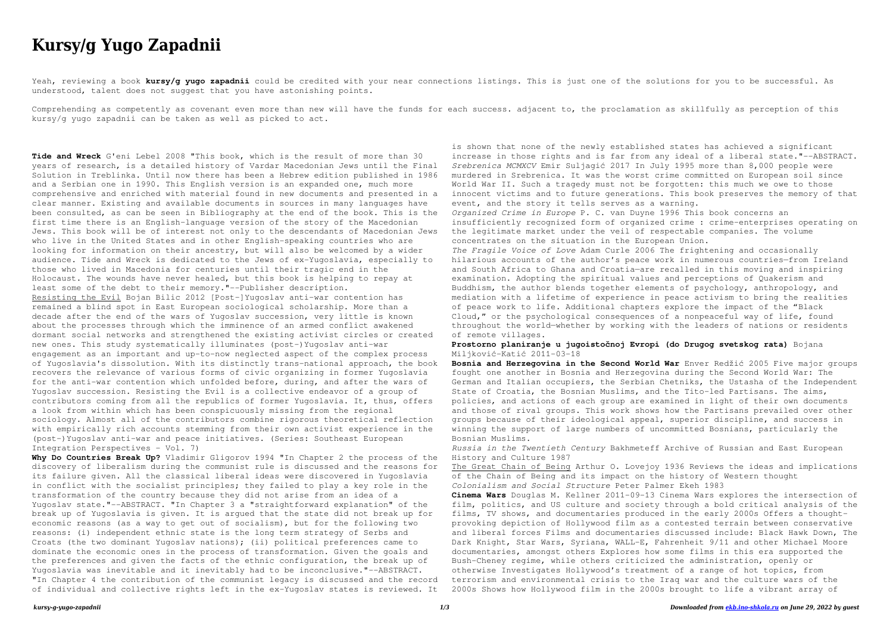## *kursy-g-yugo-zapadnii 1/3 Downloaded from [ekb.ino-shkola.ru](http://ekb.ino-shkola.ru) on June 29, 2022 by guest*

# **Kursy/g Yugo Zapadnii**

Yeah, reviewing a book **kursy/g yugo zapadnii** could be credited with your near connections listings. This is just one of the solutions for you to be successful. As understood, talent does not suggest that you have astonishing points.

Comprehending as competently as covenant even more than new will have the funds for each success. adjacent to, the proclamation as skillfully as perception of this kursy/g yugo zapadnii can be taken as well as picked to act.

**Tide and Wreck** G'eni Lebel 2008 "This book, which is the result of more than 30 years of research, is a detailed history of Vardar Macedonian Jews until the Final Solution in Treblinka. Until now there has been a Hebrew edition published in 1986 and a Serbian one in 1990. This English version is an expanded one, much more comprehensive and enriched with material found in new documents and presented in a clear manner. Existing and available documents in sources in many languages have been consulted, as can be seen in Bibliography at the end of the book. This is the first time there is an English-language version of the story of the Macedonian Jews. This book will be of interest not only to the descendants of Macedonian Jews who live in the United States and in other English-speaking countries who are looking for information on their ancestry, but will also be welcomed by a wider audience. Tide and Wreck is dedicated to the Jews of ex-Yugoslavia, especially to those who lived in Macedonia for centuries until their tragic end in the Holocaust. The wounds have never healed, but this book is helping to repay at least some of the debt to their memory."--Publisher description. Resisting the Evil Bojan Bilic 2012 [Post-]Yugoslav anti-war contention has remained a blind spot in East European sociological scholarship. More than a decade after the end of the wars of Yugoslav succession, very little is known about the processes through which the imminence of an armed conflict awakened dormant social networks and strengthened the existing activist circles or created new ones. This study systematically illuminates (post-)Yugoslav anti-war engagement as an important and up-to-now neglected aspect of the complex process of Yugoslavia's dissolution. With its distinctly trans-national approach, the book recovers the relevance of various forms of civic organizing in former Yugoslavia for the anti-war contention which unfolded before, during, and after the wars of Yugoslav succession. Resisting the Evil is a collective endeavor of a group of contributors coming from all the republics of former Yugoslavia. It, thus, offers a look from within which has been conspicuously missing from the regional sociology. Almost all of the contributors combine rigorous theoretical reflection with empirically rich accounts stemming from their own activist experience in the (post-)Yugoslav anti-war and peace initiatives. (Series: Southeast European Integration Perspectives - Vol. 7)

**Why Do Countries Break Up?** Vladimir Gligorov 1994 "In Chapter 2 the process of the discovery of liberalism during the communist rule is discussed and the reasons for its failure given. All the classical liberal ideas were discovered in Yugoslavia in conflict with the socialist principles; they failed to play a key role in the transformation of the country because they did not arise from an idea of a Yugoslav state."--ABSTRACT. "In Chapter 3 a "straightforward explanation" of the break up of Yugoslavia is given. It is argued that the state did not break up for economic reasons (as a way to get out of socialism), but for the following two reasons: (i) independent ethnic state is the long term strategy of Serbs and Croats (the two dominant Yugoslav nations); (ii) political preferences came to dominate the economic ones in the process of transformation. Given the goals and the preferences and given the facts of the ethnic configuration, the break up of Yugoslavia was inevitable and it inevitably had to be inconclusive."--ABSTRACT. "In Chapter 4 the contribution of the communist legacy is discussed and the record of individual and collective rights left in the ex-Yugoslav states is reviewed. It

is shown that none of the newly established states has achieved a significant increase in those rights and is far from any ideal of a liberal state."--ABSTRACT. *Srebrenica MCMXCV* Emir Suljagić 2017 In July 1995 more than 8,000 people were murdered in Srebrenica. It was the worst crime committed on European soil since World War II. Such a tragedy must not be forgotten: this much we owe to those innocent victims and to future generations. This book preserves the memory of that event, and the story it tells serves as a warning. *Organized Crime in Europe* P. C. van Duyne 1996 This book concerns an insufficiently recognized form of organized crime : crime-enterprises operating on the legitimate market under the veil of respectable companies. The volume concentrates on the situation in the European Union. *The Fragile Voice of Love* Adam Curle 2006 The frightening and occasionally hilarious accounts of the author's peace work in numerous countries—from Ireland and South Africa to Ghana and Croatia—are recalled in this moving and inspiring examination. Adopting the spiritual values and perceptions of Quakerism and Buddhism, the author blends together elements of psychology, anthropology, and mediation with a lifetime of experience in peace activism to bring the realities of peace work to life. Additional chapters explore the impact of the "Black Cloud," or the psychological consequences of a nonpeaceful way of life, found throughout the world—whether by working with the leaders of nations or residents of remote villages.

**Prostorno planiranje u jugoistočnoj Evropi (do Drugog svetskog rata)** Bojana Miljković-Katić 2011-03-18

**Bosnia and Herzegovina in the Second World War** Enver Redžić 2005 Five major groups fought one another in Bosnia and Herzegovina during the Second World War: The German and Italian occupiers, the Serbian Chetniks, the Ustasha of the Independent State of Croatia, the Bosnian Muslims, and the Tito-led Partisans. The aims, policies, and actions of each group are examined in light of their own documents and those of rival groups. This work shows how the Partisans prevailed over other groups because of their ideological appeal, superior discipline, and success in winning the support of large numbers of uncommitted Bosnians, particularly the Bosnian Muslims.

*Russia in the Twentieth Century* Bakhmeteff Archive of Russian and East European History and Culture 1987

The Great Chain of Being Arthur O. Lovejoy 1936 Reviews the ideas and implications of the Chain of Being and its impact on the history of Western thought *Colonialism and Social Structure* Peter Palmer Ekeh 1983 **Cinema Wars** Douglas M. Kellner 2011-09-13 Cinema Wars explores the intersection of film, politics, and US culture and society through a bold critical analysis of the films, TV shows, and documentaries produced in the early 2000s Offers a thoughtprovoking depiction of Hollywood film as a contested terrain between conservative and liberal forces Films and documentaries discussed include: Black Hawk Down, The Dark Knight, Star Wars, Syriana, WALL-E, Fahrenheit 9/11 and other Michael Moore documentaries, amongst others Explores how some films in this era supported the Bush-Cheney regime, while others criticized the administration, openly or otherwise Investigates Hollywood's treatment of a range of hot topics, from terrorism and environmental crisis to the Iraq war and the culture wars of the 2000s Shows how Hollywood film in the 2000s brought to life a vibrant array of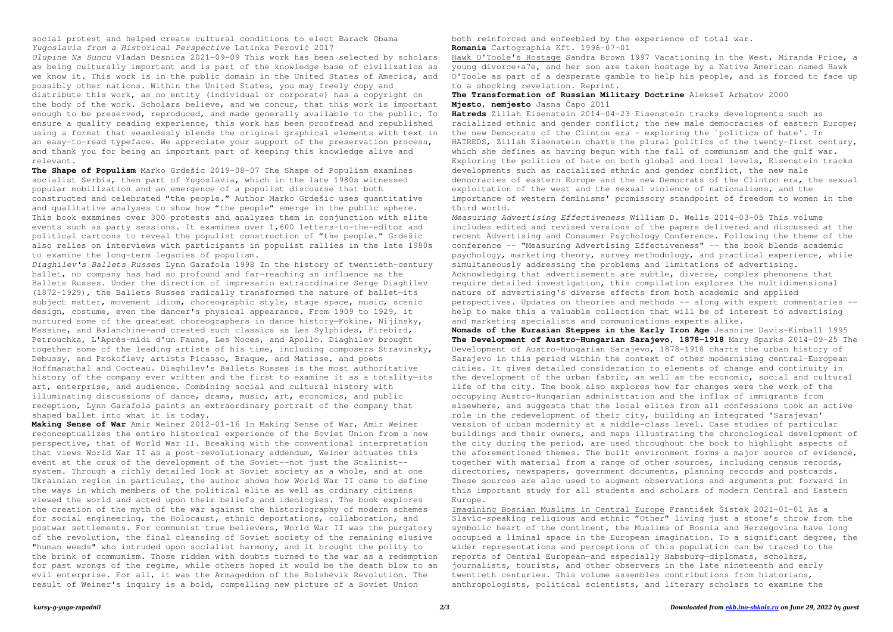### *kursy-g-yugo-zapadnii 2/3 Downloaded from [ekb.ino-shkola.ru](http://ekb.ino-shkola.ru) on June 29, 2022 by guest*

social protest and helped create cultural conditions to elect Barack Obama *Yugoslavia from a Historical Perspective* Latinka Perović 2017

*Olupine Na Suncu* Vladan Desnica 2021-09-09 This work has been selected by scholars as being culturally important and is part of the knowledge base of civilization as we know it. This work is in the public domain in the United States of America, and possibly other nations. Within the United States, you may freely copy and distribute this work, as no entity (individual or corporate) has a copyright on the body of the work. Scholars believe, and we concur, that this work is important enough to be preserved, reproduced, and made generally available to the public. To ensure a quality reading experience, this work has been proofread and republished using a format that seamlessly blends the original graphical elements with text in an easy-to-read typeface. We appreciate your support of the preservation process, and thank you for being an important part of keeping this knowledge alive and relevant.

**The Shape of Populism** Marko Grdešic 2019-08-07 The Shape of Populism examines socialist Serbia, then part of Yugoslavia, which in the late 1980s witnessed popular mobilization and an emergence of a populist discourse that both constructed and celebrated "the people." Author Marko Grdešic uses quantitative and qualitative analyses to show how "the people" emerge in the public sphere. This book examines over 300 protests and analyzes them in conjunction with elite events such as party sessions. It examines over 1,600 letters-to-the-editor and political cartoons to reveal the populist construction of "the people." Grdešic also relies on interviews with participants in populist rallies in the late 1980s to examine the long-term legacies of populism.

*Diaghilev's Ballets Russes* Lynn Garafola 1998 In the history of twentieth-century ballet, no company has had so profound and far-reaching an influence as the Ballets Russes. Under the direction of impresario extraordinaire Serge Diaghilev (1872–1929), the Ballets Russes radically transformed the nature of ballet—its subject matter, movement idiom, choreographic style, stage space, music, scenic design, costume, even the dancer's physical appearance. From 1909 to 1929, it nurtured some of the greatest choreographers in dance history—Fokine, Nijinsky, Massine, and Balanchine-and created such classics as Les Sylphides, Firebird, Petrouchka, L'Après-midi d'un Faune, Les Noces, and Apollo. Diaghilev brought together some of the leading artists of his time, including composers Stravinsky, Debussy, and Prokofiev; artists Picasso, Braque, and Matisse, and poets Hoffmansthal and Cocteau. Diaghilev's Ballets Russes is the most authoritative history of the company ever written and the first to examine it as a totality-its art, enterprise, and audience. Combining social and cultural history with illuminating discussions of dance, drama, music, art, economics, and public reception, Lynn Garafola paints an extraordinary portrait of the company that shaped ballet into what it is today.

**Making Sense of War** Amir Weiner 2012-01-16 In Making Sense of War, Amir Weiner reconceptualizes the entire historical experience of the Soviet Union from a new perspective, that of World War II. Breaking with the conventional interpretation that views World War II as a post-revolutionary addendum, Weiner situates this event at the crux of the development of the Soviet--not just the Stalinist- system. Through a richly detailed look at Soviet society as a whole, and at one Ukrainian region in particular, the author shows how World War II came to define the ways in which members of the political elite as well as ordinary citizens viewed the world and acted upon their beliefs and ideologies. The book explores the creation of the myth of the war against the historiography of modern schemes for social engineering, the Holocaust, ethnic deportations, collaboration, and postwar settlements. For communist true believers, World War II was the purgatory of the revolution, the final cleansing of Soviet society of the remaining elusive "human weeds" who intruded upon socialist harmony, and it brought the polity to the brink of communism. Those ridden with doubts turned to the war as a redemption for past wrongs of the regime, while others hoped it would be the death blow to an evil enterprise. For all, it was the Armageddon of the Bolshevik Revolution. The result of Weiner's inquiry is a bold, compelling new picture of a Soviet Union

both reinforced and enfeebled by the experience of total war. **Romania** Cartographia Kft. 1996-07-01

Hawk O'Toole's Hostage Sandra Brown 1997 Vacationing in the West, Miranda Price, a young divorce+a7e, and her son are taken hostage by a Native American named Hawk O'Toole as part of a desperate gamble to help his people, and is forced to face up to a shocking revelation. Reprint.

**The Transformation of Russian Military Doctrine** Alekseĭ Arbatov 2000 **Mjesto, nemjesto** Jasna Čapo 2011

**Hatreds** Zillah Eisenstein 2014-04-23 Eisenstein tracks developments such as racialized ethnic and gender conflict; the new male democracies of eastern Europe; the new Democrats of the Clinton era - exploring the `politics of hate'. In HATREDS, Zillah Eisenstein charts the plural politics of the twenty-first century, which she defines as having begun with the fall of communism and the gulf war. Exploring the politics of hate on both global and local levels, Eisenstein tracks developments such as racialized ethnic and gender conflict, the new male democracies of eastern Europe and the new Democrats of the Clinton era, the sexual exploitation of the west and the sexual violence of nationalisms, and the importance of western feminisms' promissory standpoint of freedom to women in the third world.

*Measuring Advertising Effectiveness* William D. Wells 2014-03-05 This volume includes edited and revised versions of the papers delivered and discussed at the recent Advertising and Consumer Psychology Conference. Following the theme of the conference -- "Measuring Advertising Effectiveness" -- the book blends academic psychology, marketing theory, survey methodology, and practical experience, while simultaneously addressing the problems and limitations of advertising. Acknowledging that advertisements are subtle, diverse, complex phenomena that require detailed investigation, this compilation explores the multidimensional nature of advertising's diverse effects from both academic and applied perspectives. Updates on theories and methods -- along with expert commentaries - help to make this a valuable collection that will be of interest to advertising and marketing specialists and communications experts alike. **Nomads of the Eurasian Steppes in the Early Iron Age** Jeannine Davis-Kimball 1995 **The Development of Austro-Hungarian Sarajevo, 1878-1918** Mary Sparks 2014-09-25 The Development of Austro-Hungarian Sarajevo, 1878-1918 charts the urban history of Sarajevo in this period within the context of other modernising central-European cities. It gives detailed consideration to elements of change and continuity in the development of the urban fabric, as well as the economic, social and cultural life of the city. The book also explores how far changes were the work of the occupying Austro-Hungarian administration and the influx of immigrants from elsewhere, and suggests that the local elites from all confessions took an active role in the redevelopment of their city, building an integrated 'Sarajevan' version of urban modernity at a middle-class level. Case studies of particular buildings and their owners, and maps illustrating the chronological development of the city during the period, are used throughout the book to highlight aspects of the aforementioned themes. The built environment forms a major source of evidence, together with material from a range of other sources, including census records, directories, newspapers, government documents, planning records and postcards. These sources are also used to augment observations and arguments put forward in this important study for all students and scholars of modern Central and Eastern Europe.

Imagining Bosnian Muslims in Central Europe František Šístek 2021-01-01 As a Slavic-speaking religious and ethnic "Other" living just a stone's throw from the symbolic heart of the continent, the Muslims of Bosnia and Herzegovina have long occupied a liminal space in the European imagination. To a significant degree, the wider representations and perceptions of this population can be traced to the reports of Central European—and especially Habsburg—diplomats, scholars, journalists, tourists, and other observers in the late nineteenth and early twentieth centuries. This volume assembles contributions from historians, anthropologists, political scientists, and literary scholars to examine the